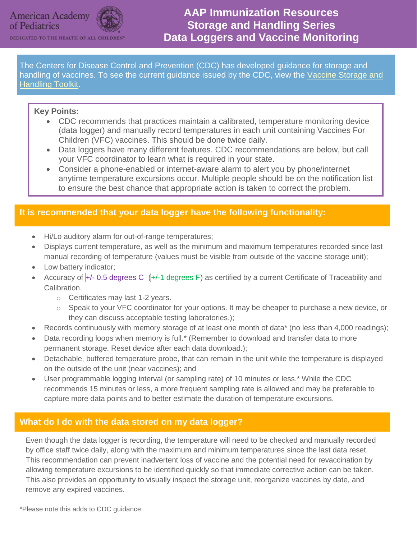

DEDICATED TO THE HEALTH OF ALL CHILD!

The Centers for Disease Control and Prevention (CDC) has developed guidance for storage and handling of vaccines. To see the current guidance issued by the CDC, view the [Vaccine Storage and](http://www.cdc.gov/vaccines/hcp/admin/storage/toolkit/index.html)  [Handling Toolkit.](http://www.cdc.gov/vaccines/hcp/admin/storage/toolkit/index.html)

## **Key Points:**

- CDC recommends that practices maintain a calibrated, temperature monitoring device (data logger) and manually record temperatures in each unit containing Vaccines For Children (VFC) vaccines. This should be done twice daily.
- Data loggers have many different features. CDC recommendations are below, but call your VFC coordinator to learn what is required in your state.
- Consider a phone-enabled or internet-aware alarm to alert you by phone/internet anytime temperature excursions occur. Multiple people should be on the notification list to ensure the best chance that appropriate action is taken to correct the problem.

# **It is recommended that your data logger have the following functionality:**

- Hi/Lo auditory alarm for out-of-range temperatures;
- Displays current temperature, as well as the minimum and maximum temperatures recorded since last manual recording of temperature (values must be visible from outside of the vaccine storage unit);
- Low battery indicator;
- Accuracy of  $\overline{+/-}$  0.5 degrees C ( $\overline{+/-}$ 1 degrees F) as certified by a current Certificate of Traceability and Calibration.
	- o Certificates may last 1-2 years.
	- o Speak to your VFC coordinator for your options. It may be cheaper to purchase a new device, or they can discuss acceptable testing laboratories.);
- Records continuously with memory storage of at least one month of data\* (no less than 4,000 readings);
- Data recording loops when memory is full.\* (Remember to download and transfer data to more permanent storage. Reset device after each data download.);
- Detachable, buffered temperature probe, that can remain in the unit while the temperature is displayed on the outside of the unit (near vaccines); and
- User programmable logging interval (or sampling rate) of 10 minutes or less.\* While the CDC recommends 15 minutes or less, a more frequent sampling rate is allowed and may be preferable to capture more data points and to better estimate the duration of temperature excursions.

# **What do I do with the data stored on my data logger?**

Even though the data logger is recording, the temperature will need to be checked and manually recorded by office staff twice daily, along with the maximum and minimum temperatures since the last data reset. This recommendation can prevent inadvertent loss of vaccine and the potential need for revaccination by allowing temperature excursions to be identified quickly so that immediate corrective action can be taken. This also provides an opportunity to visually inspect the storage unit, reorganize vaccines by date, and remove any expired vaccines.

\*Please note this adds to CDC guidance.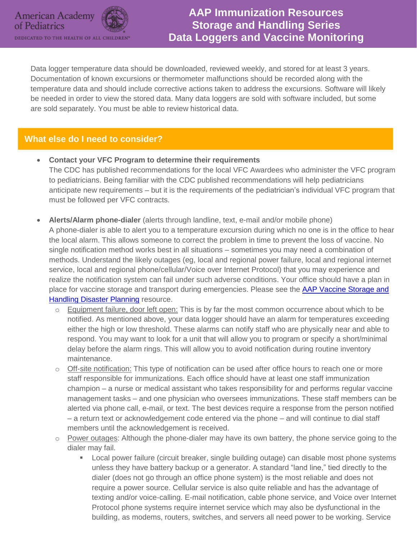

Data logger temperature data should be downloaded, reviewed weekly, and stored for at least 3 years. Documentation of known excursions or thermometer malfunctions should be recorded along with the temperature data and should include corrective actions taken to address the excursions. Software will likely be needed in order to view the stored data. Many data loggers are sold with software included, but some are sold separately. You must be able to review historical data.

# **What else do I need to consider?**

- **Contact your VFC Program to determine their requirements** The CDC has published recommendations for the local VFC Awardees who administer the VFC program to pediatricians. Being familiar with the CDC published recommendations will help pediatricians anticipate new requirements – but it is the requirements of the pediatrician's individual VFC program that must be followed per VFC contracts.
- **Alerts/Alarm phone-dialer** (alerts through landline, text, e-mail and/or mobile phone) A phone-dialer is able to alert you to a temperature excursion during which no one is in the office to hear the local alarm. This allows someone to correct the problem in time to prevent the loss of vaccine. No single notification method works best in all situations – sometimes you may need a combination of methods. Understand the likely outages (eg, local and regional power failure, local and regional internet service, local and regional phone/cellular/Voice over Internet Protocol) that you may experience and realize the notification system can fail under such adverse conditions. Your office should have a plan in place for vaccine storage and transport during emergencies. Please see the AAP Vaccine Storage and [Handling Disaster Planning](https://www.aap.org/en-us/Documents/immunization_disasterplanning.pdf) resource.
	- o Equipment failure, door left open: This is by far the most common occurrence about which to be notified. As mentioned above, your data logger should have an alarm for temperatures exceeding either the high or low threshold. These alarms can notify staff who are physically near and able to respond. You may want to look for a unit that will allow you to program or specify a short/minimal delay before the alarm rings. This will allow you to avoid notification during routine inventory maintenance.
	- $\circ$  Off-site notification: This type of notification can be used after office hours to reach one or more staff responsible for immunizations. Each office should have at least one staff immunization champion – a nurse or medical assistant who takes responsibility for and performs regular vaccine management tasks – and one physician who oversees immunizations. These staff members can be alerted via phone call, e-mail, or text. The best devices require a response from the person notified – a return text or acknowledgement code entered via the phone – and will continue to dial staff members until the acknowledgement is received.
	- Power outages: Although the phone-dialer may have its own battery, the phone service going to the dialer may fail.
		- Local power failure (circuit breaker, single building outage) can disable most phone systems unless they have battery backup or a generator. A standard "land line," tied directly to the dialer (does not go through an office phone system) is the most reliable and does not require a power source. Cellular service is also quite reliable and has the advantage of texting and/or voice-calling. E-mail notification, cable phone service, and Voice over Internet Protocol phone systems require internet service which may also be dysfunctional in the building, as modems, routers, switches, and servers all need power to be working. Service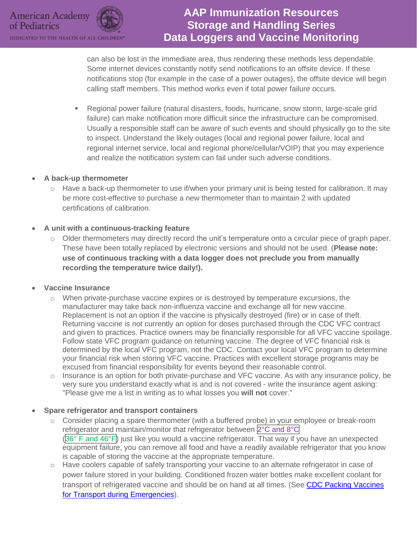can also be lost in the immediate area, thus rendering these methods less dependable. Some internet devices constantly notify send notifications to an offsite device. If these notifications stop (for example in the case of a power outages), the offsite device will begin calling staff members. This method works even if total power failure occurs.

 Regional power failure (natural disasters, foods, hurricane, snow storm, large-scale grid failure) can make notification more difficult since the infrastructure can be compromised. Usually a responsible staff can be aware of such events and should physically go to the site to inspect. Understand the likely outages (local and regional power failure, local and regional internet service, local and regional phone/cellular/VOIP) that you may experience and realize the notification system can fail under such adverse conditions.

#### **A back-up thermometer**

 $\circ$  Have a back-up thermometer to use if/when your primary unit is being tested for calibration. It may be more cost-effective to purchase a new thermometer than to maintain 2 with updated certifications of calibration.

#### **A unit with a continuous-tracking feature**

 $\circ$  Older thermometers may directly record the unit's temperature onto a circular piece of graph paper. These have been totally replaced by electronic versions and should not be used. (**Please note: use of continuous tracking with a data logger does not preclude you from manually recording the temperature twice daily!).** 

#### **Vaccine Insurance**

- $\circ$  When private-purchase vaccine expires or is destroyed by temperature excursions, the manufacturer may take back non-influenza vaccine and exchange all for new vaccine. Replacement is not an option if the vaccine is physically destroyed (fire) or in case of theft. Returning vaccine is not currently an option for doses purchased through the CDC VFC contract and given to practices. Practice owners may be financially responsible for all VFC vaccine spoilage. Follow state VFC program guidance on returning vaccine. The degree of VFC financial risk is determined by the local VFC program, not the CDC. Contact your local VFC program to determine your financial risk when storing VFC vaccine. Practices with excellent storage programs may be excused from financial responsibility for events beyond their reasonable control.
- o Insurance is an option for both private-purchase and VFC vaccine. As with any insurance policy, be very sure you understand exactly what is and is not covered - write the insurance agent asking: "Please give me a list in writing as to what losses you **will not** cover."

#### **Spare refrigerator and transport containers**

- $\circ$  Consider placing a spare thermometer (with a buffered probe) in your employee or break-room refrigerator and maintain/monitor that refrigerator between 2°C and 8°C (36° F and 46°F) just like you would a vaccine refrigerator. That way if you have an unexpected equipment failure, you can remove all food and have a readily available refrigerator that you know is capable of storing the vaccine at the appropriate temperature.
- Have coolers capable of safely transporting your vaccine to an alternate refrigerator in case of power failure stored in your building. Conditioned frozen water bottles make excellent coolant for transport of refrigerated vaccine and should be on hand at all times. (See [CDC Packing Vaccines](http://www.cdc.gov/vaccines/hcp/admin/storage/downloads/emergency-transport.pdf)  [for Transport during Emergencies\)](http://www.cdc.gov/vaccines/hcp/admin/storage/downloads/emergency-transport.pdf).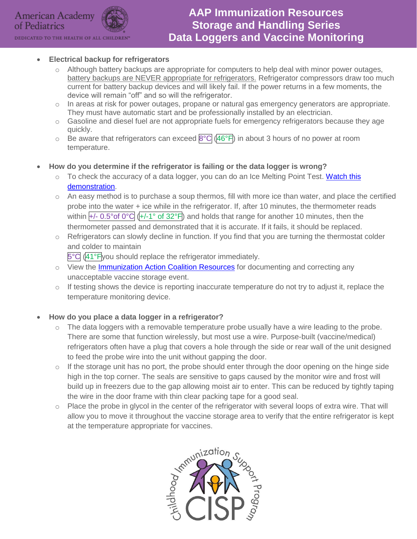

DEDICATED TO THE HEALTH OF ALL CHILDREN

## **Electrical backup for refrigerators**

- $\circ$  Although battery backups are appropriate for computers to help deal with minor power outages, battery backups are NEVER appropriate for refrigerators. Refrigerator compressors draw too much current for battery backup devices and will likely fail. If the power returns in a few moments, the device will remain "off" and so will the refrigerator.
- $\circ$  In areas at risk for power outages, propane or natural gas emergency generators are appropriate. They must have automatic start and be professionally installed by an electrician.
- $\circ$  Gasoline and diesel fuel are not appropriate fuels for emergency refrigerators because they age quickly.
- $\circ$  Be aware that refrigerators can exceed  $8^{\circ}C$  (46°F) in about 3 hours of no power at room temperature.
- **How do you determine if the refrigerator is failing or the data logger is wrong?**
	- $\circ$  To check the accuracy of a data logger, you can do an Ice Melting Point Test. Watch this [demonstration.](http://www.youtube.com/watch?v=KYOJayWqB3g&noredirect=1)
	- $\circ$  An easy method is to purchase a soup thermos, fill with more ice than water, and place the certified probe into the water + ice while in the refrigerator. If, after 10 minutes, the thermometer reads within  $+/-$  0.5° of 0°C ( $+/-1$ ° of 32°F) and holds that range for another 10 minutes, then the thermometer passed and demonstrated that it is accurate. If it fails, it should be replaced.
	- Refrigerators can slowly decline in function. If you find that you are turning the thermostat colder and colder to maintain

5°C (41°Fyou should replace the refrigerator immediately.

- o View the [Immunization Action Coalition Resources](http://www.immunize.org/clinic/storage-handling.asp) for documenting and correcting any unacceptable vaccine storage event.
- $\circ$  If testing shows the device is reporting inaccurate temperature do not try to adjust it, replace the temperature monitoring device.

## **How do you place a data logger in a refrigerator?**

- $\circ$  The data loggers with a removable temperature probe usually have a wire leading to the probe. There are some that function wirelessly, but most use a wire. Purpose-built (vaccine/medical) refrigerators often have a plug that covers a hole through the side or rear wall of the unit designed to feed the probe wire into the unit without gapping the door.
- o If the storage unit has no port, the probe should enter through the door opening on the hinge side high in the top corner. The seals are sensitive to gaps caused by the monitor wire and frost will build up in freezers due to the gap allowing moist air to enter. This can be reduced by tightly taping the wire in the door frame with thin clear packing tape for a good seal.
- $\circ$  Place the probe in glycol in the center of the refrigerator with several loops of extra wire. That will allow you to move it throughout the vaccine storage area to verify that the entire refrigerator is kept at the temperature appropriate for vaccines.

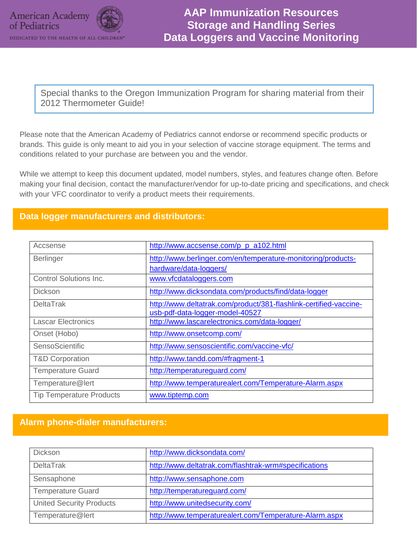

Special thanks to the Oregon Immunization Program for sharing material from their 2012 Thermometer Guide!

Please note that the American Academy of Pediatrics cannot endorse or recommend specific products or brands. This guide is only meant to aid you in your selection of vaccine storage equipment. The terms and conditions related to your purchase are between you and the vendor.

While we attempt to keep this document updated, model numbers, styles, and features change often. Before making your final decision, contact the manufacturer/vendor for up-to-date pricing and specifications, and check with your VFC coordinator to verify a product meets their requirements.

## **Data logger manufacturers and distributors:**

| Accsense                        | http://www.accsense.com/p p a102.html                             |
|---------------------------------|-------------------------------------------------------------------|
| <b>Berlinger</b>                | http://www.berlinger.com/en/temperature-monitoring/products-      |
|                                 | hardware/data-loggers/                                            |
| <b>Control Solutions Inc.</b>   | www.vfcdataloggers.com                                            |
| <b>Dickson</b>                  | http://www.dicksondata.com/products/find/data-logger              |
| <b>DeltaTrak</b>                | http://www.deltatrak.com/product/381-flashlink-certified-vaccine- |
|                                 | usb-pdf-data-logger-model-40527                                   |
| <b>Lascar Electronics</b>       | http://www.lascarelectronics.com/data-logger/                     |
| Onset (Hobo)                    | http://www.onsetcomp.com/                                         |
| SensoScientific                 | http://www.sensoscientific.com/vaccine-vfc/                       |
| <b>T&amp;D Corporation</b>      | http://www.tandd.com/#fragment-1                                  |
| <b>Temperature Guard</b>        | http://temperatureguard.com/                                      |
| Temperature@lert                | http://www.temperaturealert.com/Temperature-Alarm.aspx            |
| <b>Tip Temperature Products</b> | www.tiptemp.com                                                   |

## **Alarm phone-dialer manufacturers:**

| <b>Dickson</b>                  | http://www.dicksondata.com/                            |
|---------------------------------|--------------------------------------------------------|
| <b>DeltaTrak</b>                | http://www.deltatrak.com/flashtrak-wrm#specifications  |
| Sensaphone                      | http://www.sensaphone.com                              |
| <b>Temperature Guard</b>        | http://temperatureguard.com/                           |
| <b>United Security Products</b> | http://www.unitedsecurity.com/                         |
| Temperature@lert                | http://www.temperaturealert.com/Temperature-Alarm.aspx |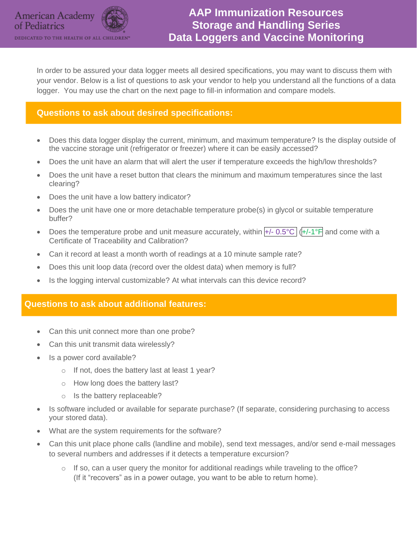In order to be assured your data logger meets all desired specifications, you may want to discuss them with your vendor. Below is a list of questions to ask your vendor to help you understand all the functions of a data logger. You may use the chart on the next page to fill-in information and compare models.

# **Questions to ask about desired specifications:**

- Does this data logger display the current, minimum, and maximum temperature? Is the display outside of the vaccine storage unit (refrigerator or freezer) where it can be easily accessed?
- Does the unit have an alarm that will alert the user if temperature exceeds the high/low thresholds?
- Does the unit have a reset button that clears the minimum and maximum temperatures since the last clearing?
- Does the unit have a low battery indicator?
- Does the unit have one or more detachable temperature probe(s) in glycol or suitable temperature buffer?
- Does the temperature probe and unit measure accurately, within  $H$  0.5°C ( $H$ -1°F and come with a Certificate of Traceability and Calibration?
- Can it record at least a month worth of readings at a 10 minute sample rate?
- Does this unit loop data (record over the oldest data) when memory is full?
- Is the logging interval customizable? At what intervals can this device record?

## **Questions to ask about additional features:**

- Can this unit connect more than one probe?
- Can this unit transmit data wirelessly?
- Is a power cord available?
	- o If not, does the battery last at least 1 year?
	- o How long does the battery last?
	- o Is the battery replaceable?
- Is software included or available for separate purchase? (If separate, considering purchasing to access your stored data).
- What are the system requirements for the software?
- Can this unit place phone calls (landline and mobile), send text messages, and/or send e-mail messages to several numbers and addresses if it detects a temperature excursion?
	- $\circ$  If so, can a user query the monitor for additional readings while traveling to the office? (If it "recovers" as in a power outage, you want to be able to return home).